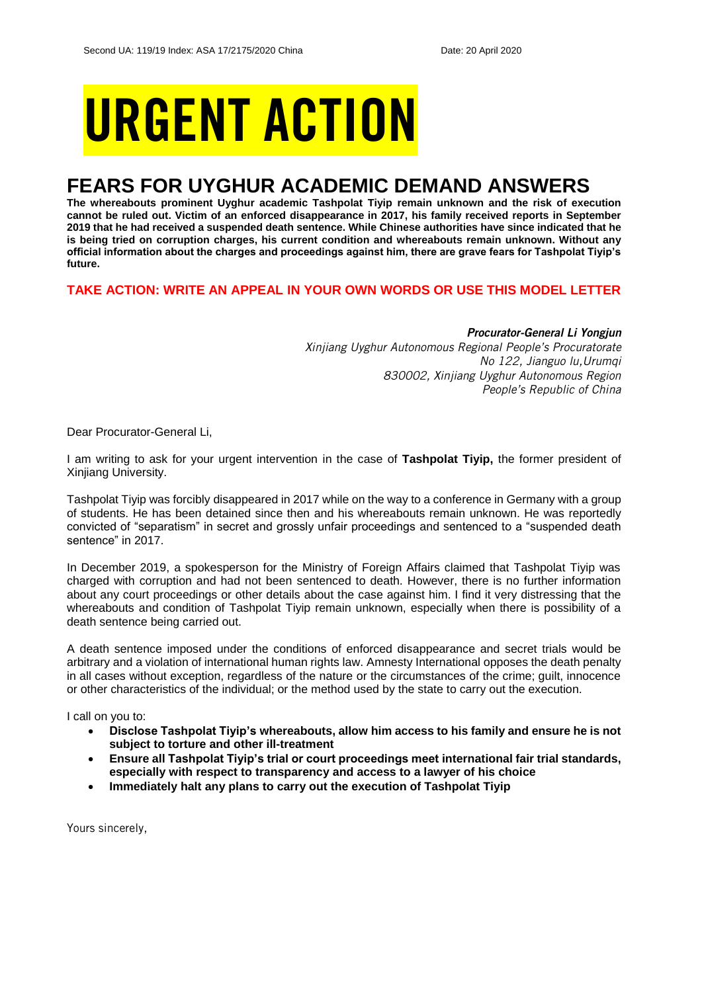# URGENT ACTION

## **FEARS FOR UYGHUR ACADEMIC DEMAND ANSWERS**

**The whereabouts prominent Uyghur academic Tashpolat Tiyip remain unknown and the risk of execution cannot be ruled out. Victim of an enforced disappearance in 2017, his family received reports in September 2019 that he had received a suspended death sentence. While Chinese authorities have since indicated that he is being tried on corruption charges, his current condition and whereabouts remain unknown. Without any official information about the charges and proceedings against him, there are grave fears for Tashpolat Tiyip's future.**

#### **TAKE ACTION: WRITE AN APPEAL IN YOUR OWN WORDS OR USE THIS MODEL LETTER**

#### *Procurator-General Li Yongjun*

*Xinjiang Uyghur Autonomous Regional People's Procuratorate No 122, Jianguo lu,Urumqi 830002, Xinjiang Uyghur Autonomous Region People's Republic of China*

Dear Procurator-General Li,

I am writing to ask for your urgent intervention in the case of **Tashpolat Tiyip,** the former president of Xinjiang University.

Tashpolat Tiyip was forcibly disappeared in 2017 while on the way to a conference in Germany with a group of students. He has been detained since then and his whereabouts remain unknown. He was reportedly convicted of "separatism" in secret and grossly unfair proceedings and sentenced to a "suspended death sentence" in 2017.

In December 2019, a spokesperson for the Ministry of Foreign Affairs claimed that Tashpolat Tiyip was charged with corruption and had not been sentenced to death. However, there is no further information about any court proceedings or other details about the case against him. I find it very distressing that the whereabouts and condition of Tashpolat Tiyip remain unknown, especially when there is possibility of a death sentence being carried out.

A death sentence imposed under the conditions of enforced disappearance and secret trials would be arbitrary and a violation of international human rights law. Amnesty International opposes the death penalty in all cases without exception, regardless of the nature or the circumstances of the crime; guilt, innocence or other characteristics of the individual; or the method used by the state to carry out the execution.

I call on you to:

- **Disclose Tashpolat Tiyip's whereabouts, allow him access to his family and ensure he is not subject to torture and other ill-treatment**
- **Ensure all Tashpolat Tiyip's trial or court proceedings meet international fair trial standards, especially with respect to transparency and access to a lawyer of his choice**
- **Immediately halt any plans to carry out the execution of Tashpolat Tiyip**

Yours sincerely,